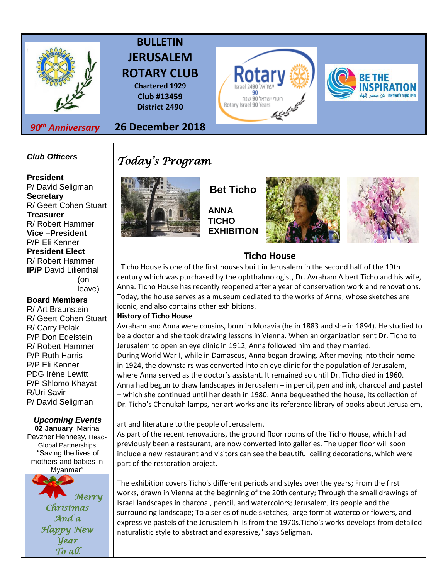

## **BULLETIN JERUSALEM ROTARY CLUB**

**Chartered 1929 Club #13459 District 2490**

*90th Anniversary*

**26 December 2018**

### *Club Officers*

**President**  P/ David Seligman **Secretary**  R/ Geert Cohen Stuart **Treasurer**  R/ Robert Hammer **Vice –President**  P/P Eli Kenner **President Elect**  R/ Robert Hammer **IP/P** David Lilienthal (on leave)

### **Board Members**

R/ Art Braunstein R/ Geert Cohen Stuart R/ Carry Polak P/P Don Edelstein R/ Robert Hammer P/P Ruth Harris P/P Eli Kenner PDG Irène Lewitt P/P Shlomo Khayat R/Uri Savir P/ David Seligman

## *Upcoming Events*

**02 January** Marina Pevzner Hennesy, Head-Global Partnerships "Saving the lives of mothers and babies in



# *Today's Program*



**Bet Ticho ANNA TICHO**



يحريد



### **Ticho House**

90 רוטרי ישראל 90 שנה

Rotary Israel 90 Years

 Ticho House is one of the first houses built in Jerusalem in the second half of the 19th century which was purchased by the ophthalmologist, Dr. Avraham Albert Ticho and his wife, Anna. Ticho House has recently reopened after a year of conservation work and renovations. Today, the house serves as a museum dediated to the works of Anna, whose sketches are iconic, and also contains other exhibitions.

### **History of Ticho House**

Avraham and Anna were cousins, born in Moravia (he in 1883 and she in 1894). He studied to be a doctor and she took drawing lessons in Vienna. When an organization sent Dr. Ticho to Jerusalem to open an eye clinic in 1912, Anna followed him and they married. During World War I, while in Damascus, Anna began drawing. After moving into their home in 1924, the downstairs was converted into an eye clinic for the population of Jerusalem, where Anna served as the doctor's assistant. It remained so until Dr. Ticho died in 1960. Anna had begun to draw landscapes in Jerusalem – in pencil, pen and ink, charcoal and pastel – which she continued until her death in 1980. Anna bequeathed the house, its collection of Dr. Ticho's Chanukah lamps, her art works and its reference library of books about Jerusalem,

art and literature to the people of Jerusalem.

As part of the recent renovations, the ground floor rooms of the Ticho House, which had previously been a restaurant, are now converted into galleries. The upper floor will soon include a new restaurant and visitors can see the beautiful ceiling decorations, which were part of the restoration project.

The exhibition covers Ticho's different periods and styles over the years; From the first works, drawn in Vienna at the beginning of the 20th century; Through the small drawings of Israel landscapes in charcoal, pencil, and watercolors; Jerusalem, its people and the surrounding landscape; To a series of nude sketches, large format watercolor flowers, and expressive pastels of the Jerusalem hills from the 1970s.Ticho's works develops from detailed naturalistic style to abstract and expressive," says Seligman.